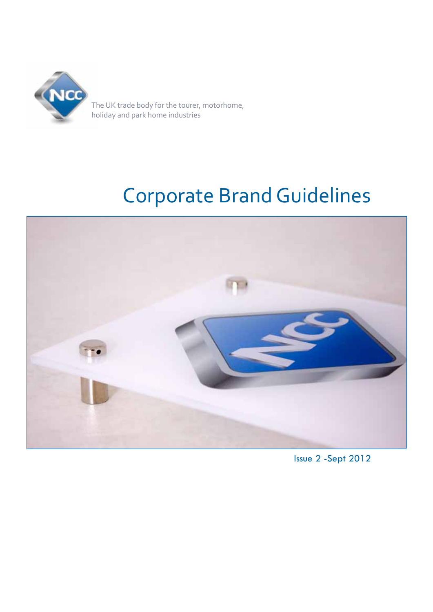

# Corporate Brand Guidelines



Issue 2 -Sept 2012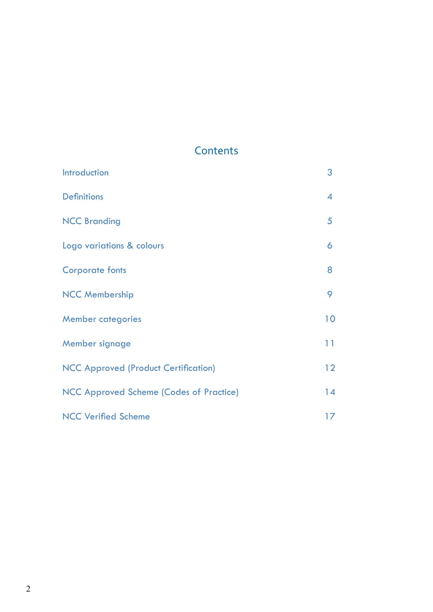# **Contents**

| Introduction                                   | 3               |
|------------------------------------------------|-----------------|
| <b>Definitions</b>                             | $\overline{4}$  |
| <b>NCC Branding</b>                            | 5               |
| Logo variations & colours                      | 6               |
| <b>Corporate fonts</b>                         | 8               |
| <b>NCC Membership</b>                          | 9               |
| <b>Member categories</b>                       | 10              |
| Member signage                                 | 11              |
| <b>NCC Approved (Product Certification)</b>    | 12 <sup>°</sup> |
| <b>NCC Approved Scheme (Codes of Practice)</b> | 14              |
| <b>NCC Verified Scheme</b>                     | 17              |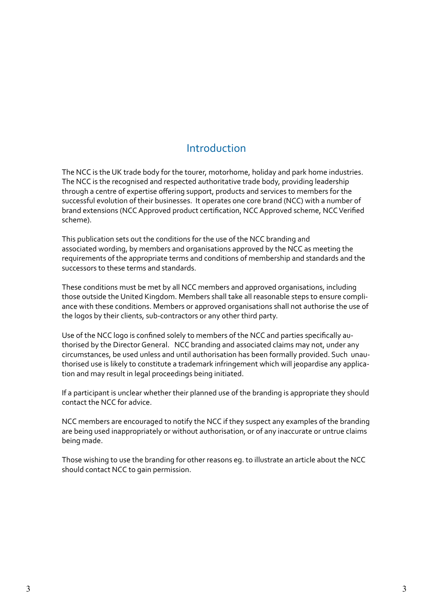### Introduction

The NCC is the UK trade body for the tourer, motorhome, holiday and park home industries. The NCC is the recognised and respected authoritative trade body, providing leadership through a centre of expertise offering support, products and services to members for the successful evolution of their businesses. It operates one core brand (NCC) with a number of brand extensions (NCC Approved product certification, NCC Approved scheme, NCC Verified scheme).

This publication sets out the conditions for the use of the NCC branding and associated wording, by members and organisations approved by the NCC as meeting the requirements of the appropriate terms and conditions of membership and standards and the successors to these terms and standards.

These conditions must be met by all NCC members and approved organisations, including those outside the United Kingdom. Members shall take all reasonable steps to ensure compliance with these conditions. Members or approved organisations shall not authorise the use of the logos by their clients, sub-contractors or any other third party.

Use of the NCC logo is confined solely to members of the NCC and parties specifically authorised by the Director General. NCC branding and associated claims may not, under any circumstances, be used unless and until authorisation has been formally provided. Such unauthorised use is likely to constitute a trademark infringement which will jeopardise any application and may result in legal proceedings being initiated.

If a participant is unclear whether their planned use of the branding is appropriate they should contact the NCC for advice.

NCC members are encouraged to notify the NCC if they suspect any examples of the branding are being used inappropriately or without authorisation, or of any inaccurate or untrue claims being made.

Those wishing to use the branding for other reasons eg. to illustrate an article about the NCC should contact NCC to gain permission.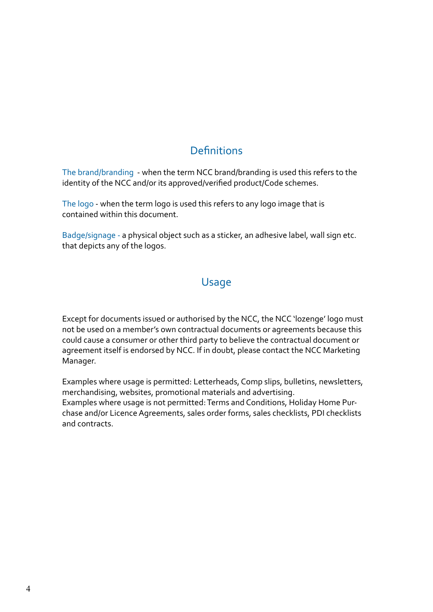### **Definitions**

The brand/branding - when the term NCC brand/branding is used this refers to the identity of the NCC and/or its approved/verified product/Code schemes.

The logo - when the term logo is used this refers to any logo image that is contained within this document.

Badge/signage - a physical object such as a sticker, an adhesive label, wall sign etc. that depicts any of the logos.

### Usage

Except for documents issued or authorised by the NCC, the NCC 'lozenge' logo must not be used on a member's own contractual documents or agreements because this could cause a consumer or other third party to believe the contractual document or agreement itself is endorsed by NCC. If in doubt, please contact the NCC Marketing Manager.

Examples where usage is permitted: Letterheads, Comp slips, bulletins, newsletters, merchandising, websites, promotional materials and advertising. Examples where usage is not permitted: Terms and Conditions, Holiday Home Purchase and/or Licence Agreements, sales order forms, sales checklists, PDI checklists and contracts.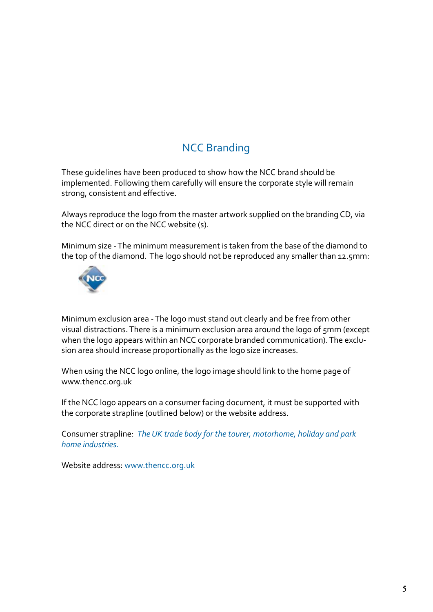### **NCC Branding**

These guidelines have been produced to show how the NCC brand should be implemented. Following them carefully will ensure the corporate style will remain strong, consistent and effective.

Always reproduce the logo from the master artwork supplied on the branding CD, via the NCC direct or on the NCC website (s).

Minimum size - The minimum measurement is taken from the base of the diamond to the top of the diamond. The logo should not be reproduced any smaller than 12.5mm:



Minimum exclusion area - The logo must stand out clearly and be free from other visual distractions. There is a minimum exclusion area around the logo of 5mm (except when the logo appears within an NCC corporate branded communication). The exclusion area should increase proportionally as the logo size increases.

When using the NCC logo online, the logo image should link to the home page of www.thencc.org.uk

If the NCC logo appears on a consumer facing document, it must be supported with the corporate strapline (outlined below) or the website address.

Consumer strapline: *The UK trade body for the tourer, motorhome, holiday and park home industries.*

Website address: www.thencc.org.uk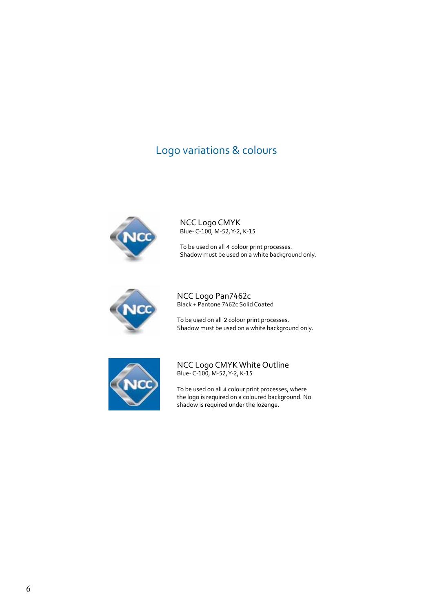### Logo variations & colours



NCC Logo CMYK Blue- C-100, M-52, Y-2, K-15

To be used on all 4 colour print processes. Shadow must be used on a white background only.



NCC Logo Pan7462c Black + Pantone 7462c Solid Coated

To be used on all 2 colour print processes. Shadow must be used on a white background only.



NCC Logo CMYK White Outline Blue- C-100, M-52, Y-2, K-15

To be used on all 4 colour print processes, where the logo is required on a coloured background. No shadow is required under the lozenge.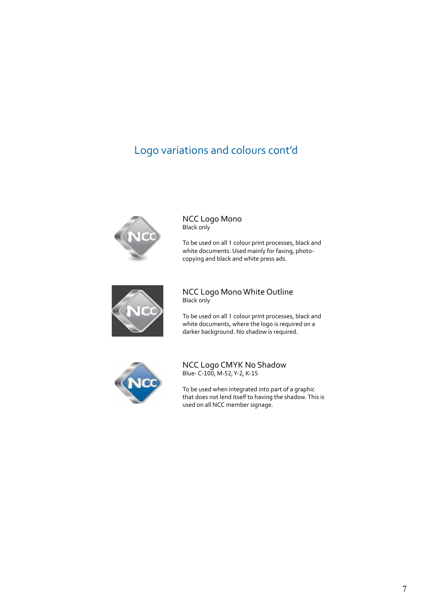### Logo variations and colours cont'd



NCC Logo Mono Black only

To be used on all 1 colour print processes, black and white documents. Used mainly for faxing, photocopying and black and white press ads.



#### NCC Logo Mono White Outline Black only

To be used on all 1 colour print processes, black and white documents, where the logo is required on a darker background. No shadow is required.



NCC Logo CMYK No Shadow Blue- C-100, M-52, Y-2, K-15

To be used when integrated into part of a graphic that does not lend itself to having the shadow. This is used on all NCC member signage.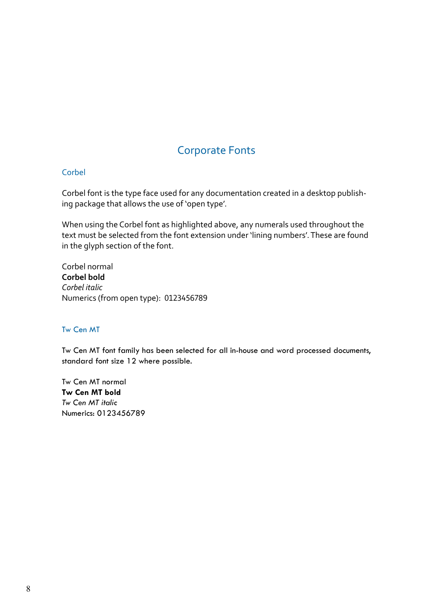### Corporate Fonts

#### Corbel

Corbel font is the type face used for any documentation created in a desktop publishing package that allows the use of 'open type'.

When using the Corbel font as highlighted above, any numerals used throughout the text must be selected from the font extension under 'lining numbers'. These are found in the glyph section of the font.

Corbel normal **Corbel bold** *Corbel italic* Numerics (from open type): 0123456789

#### Tw Cen MT

Tw Cen MT font family has been selected for all in-house and word processed documents, standard font size 12 where possible.

Tw Cen MT normal **Tw Cen MT bold** *Tw Cen MT italic* Numerics: 0123456789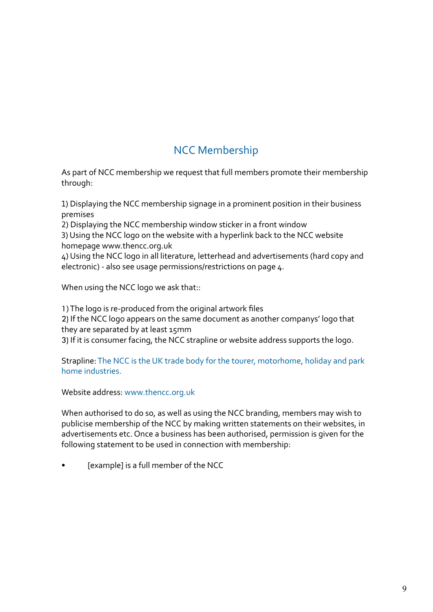### NCC Membership

As part of NCC membership we request that full members promote their membership through:

1) Displaying the NCC membership signage in a prominent position in their business premises

2) Displaying the NCC membership window sticker in a front window

3) Using the NCC logo on the website with a hyperlink back to the NCC website homepage www.thencc.org.uk

4) Using the NCC logo in all literature, letterhead and advertisements (hard copy and electronic) - also see usage permissions/restrictions on page  $\mu$ .

When using the NCC logo we ask that::

1) The logo is re-produced from the original artwork files

2) If the NCC logo appears on the same document as another companys' logo that they are separated by at least 15mm

3) If it is consumer facing, the NCC strapline or website address supports the logo.

Strapline: The NCC is the UK trade body for the tourer, motorhome, holiday and park home industries.

Website address: www.thencc.org.uk

When authorised to do so, as well as using the NCC branding, members may wish to publicise membership of the NCC by making written statements on their websites, in advertisements etc. Once a business has been authorised, permission is given for the following statement to be used in connection with membership:

[example] is a full member of the NCC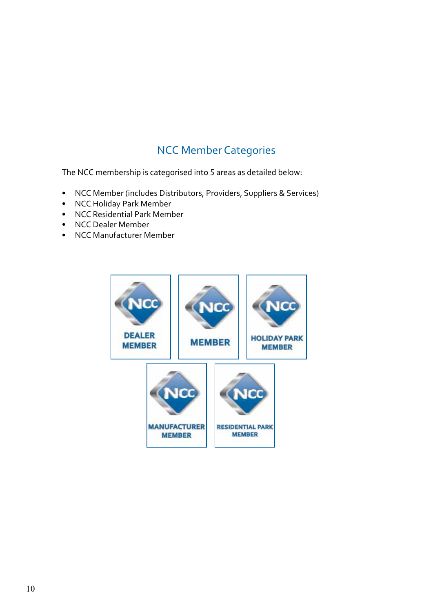# NCC Member Categories

The NCC membership is categorised into 5 areas as detailed below:

- NCC Member (includes Distributors, Providers, Suppliers & Services)
- NCC Holiday Park Member
- NCC Residential Park Member
- NCC Dealer Member
- NCC Manufacturer Member

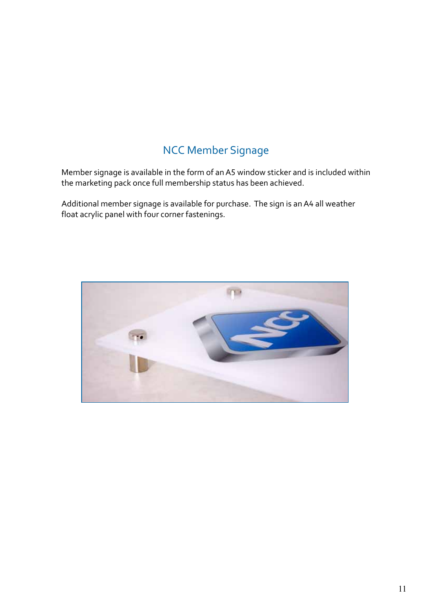# NCC Member Signage

Member signage is available in the form of an A5 window sticker and is included within the marketing pack once full membership status has been achieved.

Additional member signage is available for purchase. The sign is an A4 all weather float acrylic panel with four corner fastenings.

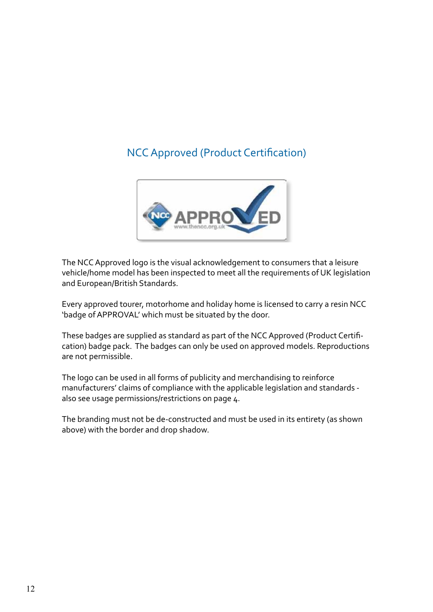### NCC Approved (Product Certification)



The NCC Approved logo is the visual acknowledgement to consumers that a leisure vehicle/home model has been inspected to meet all the requirements of UK legislation and European/British Standards.

Every approved tourer, motorhome and holiday home is licensed to carry a resin NCC 'badge of APPROVAL' which must be situated by the door.

These badges are supplied as standard as part of the NCC Approved (Product Certification) badge pack. The badges can only be used on approved models. Reproductions are not permissible.

The logo can be used in all forms of publicity and merchandising to reinforce manufacturers' claims of compliance with the applicable legislation and standards also see usage permissions/restrictions on page 4.

The branding must not be de-constructed and must be used in its entirety (as shown above) with the border and drop shadow.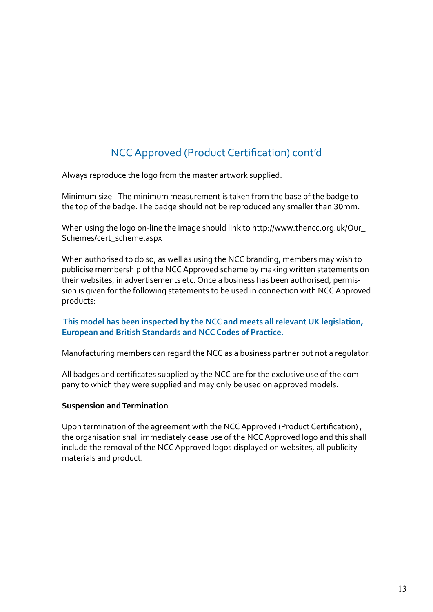# NCC Approved (Product Certification) cont'd

Always reproduce the logo from the master artwork supplied.

Minimum size - The minimum measurement is taken from the base of the badge to the top of the badge. The badge should not be reproduced any smaller than 30mm.

When using the logo on-line the image should link to http://www.thencc.org.uk/Our\_ Schemes/cert\_scheme.aspx

When authorised to do so, as well as using the NCC branding, members may wish to publicise membership of the NCC Approved scheme by making written statements on their websites, in advertisements etc. Once a business has been authorised, permission is given for the following statements to be used in connection with NCC Approved products:

#### **This model has been inspected by the NCC and meets all relevant UK legislation, European and British Standards and NCC Codes of Practice.**

Manufacturing members can regard the NCC as a business partner but not a regulator.

All badges and certificates supplied by the NCC are for the exclusive use of the company to which they were supplied and may only be used on approved models.

#### **Suspension and Termination**

Upon termination of the agreement with the NCC Approved (Product Certification) , the organisation shall immediately cease use of the NCC Approved logo and this shall include the removal of the NCC Approved logos displayed on websites, all publicity materials and product.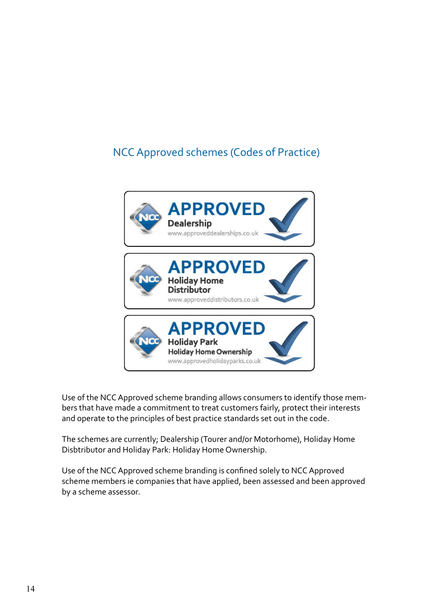### NCC Approved schemes (Codes of Practice)



Use of the NCC Approved scheme branding allows consumers to identify those members that have made a commitment to treat customers fairly, protect their interests and operate to the principles of best practice standards set out in the code.

The schemes are currently; Dealership (Tourer and/or Motorhome), Holiday Home Disbtributor and Holiday Park: Holiday Home Ownership.

Use of the NCC Approved scheme branding is confined solely to NCC Approved scheme members ie companies that have applied, been assessed and been approved by a scheme assessor.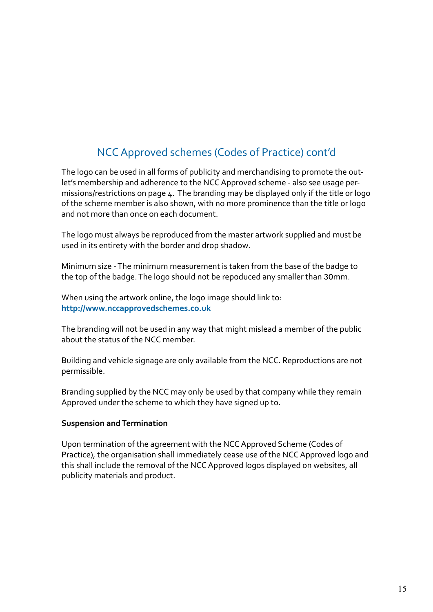### NCC Approved schemes (Codes of Practice) cont'd

The logo can be used in all forms of publicity and merchandising to promote the outlet's membership and adherence to the NCC Approved scheme - also see usage permissions/restrictions on page 4. The branding may be displayed only if the title or logo of the scheme member is also shown, with no more prominence than the title or logo and not more than once on each document.

The logo must always be reproduced from the master artwork supplied and must be used in its entirety with the border and drop shadow.

Minimum size - The minimum measurement is taken from the base of the badge to the top of the badge. The logo should not be repoduced any smaller than 30mm.

When using the artwork online, the logo image should link to: **http://www.nccapprovedschemes.co.uk**

The branding will not be used in any way that might mislead a member of the public about the status of the NCC member.

Building and vehicle signage are only available from the NCC. Reproductions are not permissible.

Branding supplied by the NCC may only be used by that company while they remain Approved under the scheme to which they have signed up to.

#### **Suspension and Termination**

Upon termination of the agreement with the NCC Approved Scheme (Codes of Practice), the organisation shall immediately cease use of the NCC Approved logo and this shall include the removal of the NCC Approved logos displayed on websites, all publicity materials and product.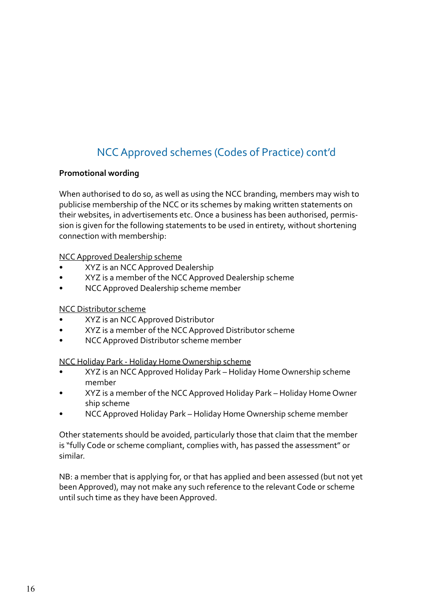# NCC Approved schemes (Codes of Practice) cont'd

#### **Promotional wording**

When authorised to do so, as well as using the NCC branding, members may wish to publicise membership of the NCC or its schemes by making written statements on their websites, in advertisements etc. Once a business has been authorised, permission is given for the following statements to be used in entirety, without shortening connection with membership:

NCC Approved Dealership scheme

- XYZ is an NCC Approved Dealership
- XYZ is a member of the NCC Approved Dealership scheme
- NCC Approved Dealership scheme member

#### NCC Distributor scheme

- XYZ is an NCC Approved Distributor
- XYZ is a member of the NCC Approved Distributor scheme
- NCC Approved Distributor scheme member

NCC Holiday Park - Holiday Home Ownership scheme

- XYZ is an NCC Approved Holiday Park Holiday Home Ownership scheme member
- XYZ is a member of the NCC Approved Holiday Park Holiday Home Owner ship scheme
- NCC Approved Holiday Park Holiday Home Ownership scheme member

Other statements should be avoided, particularly those that claim that the member is "fully Code or scheme compliant, complies with, has passed the assessment" or similar.

NB: a member that is applying for, or that has applied and been assessed (but not yet been Approved), may not make any such reference to the relevant Code or scheme until such time as they have been Approved.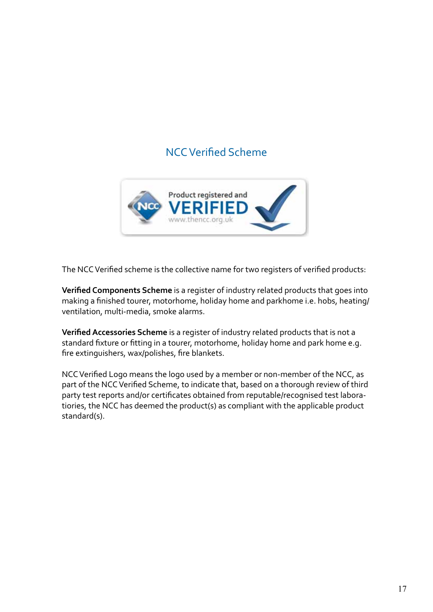### NCC Verified Scheme



The NCC Verified scheme is the collective name for two registers of verified products:

**Verified Components Scheme** is a register of industry related products that goes into making a finished tourer, motorhome, holiday home and parkhome i.e. hobs, heating/ ventilation, multi-media, smoke alarms.

**Verified Accessories Scheme** is a register of industry related products that is not a standard fixture or fitting in a tourer, motorhome, holiday home and park home e.g. fire extinguishers, wax/polishes, fire blankets.

NCC Verified Logo means the logo used by a member or non-member of the NCC, as part of the NCC Verified Scheme, to indicate that, based on a thorough review of third party test reports and/or certificates obtained from reputable/recognised test laboratiories, the NCC has deemed the product(s) as compliant with the applicable product standard(s).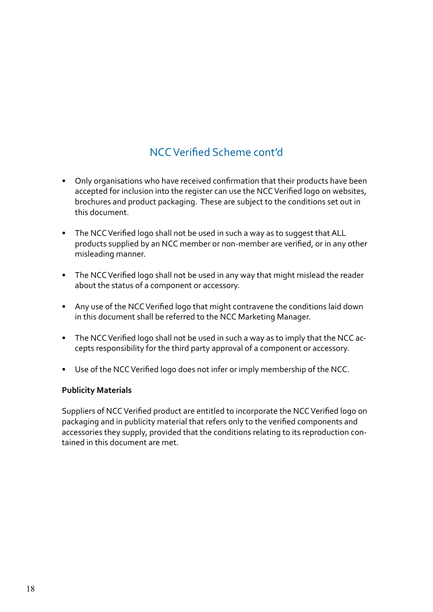# NCC Verified Scheme cont'd

- Only organisations who have received confirmation that their products have been accepted for inclusion into the register can use the NCC Verified logo on websites, brochures and product packaging. These are subject to the conditions set out in this document.
- The NCC Verified logo shall not be used in such a way as to suggest that ALL products supplied by an NCC member or non-member are verified, or in any other misleading manner.
- The NCC Verified logo shall not be used in any way that might mislead the reader about the status of a component or accessory.
- Any use of the NCC Verified logo that might contravene the conditions laid down in this document shall be referred to the NCC Marketing Manager.
- The NCC Verified logo shall not be used in such a way as to imply that the NCC accepts responsibility for the third party approval of a component or accessory.
- Use of the NCC Verified logo does not infer or imply membership of the NCC.

#### **Publicity Materials**

Suppliers of NCC Verified product are entitled to incorporate the NCC Verified logo on packaging and in publicity material that refers only to the verified components and accessories they supply, provided that the conditions relating to its reproduction contained in this document are met.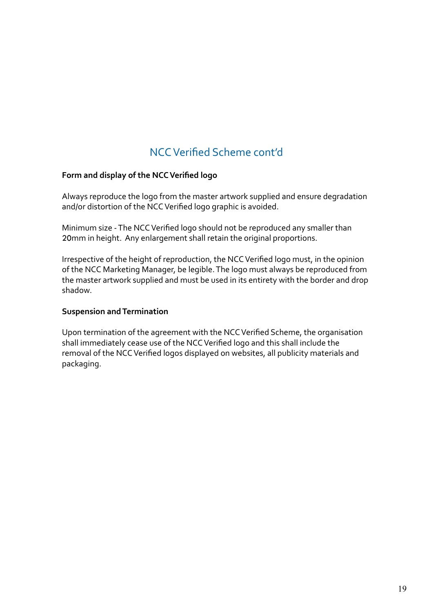### NCC Verified Scheme cont'd

#### **Form and display of the NCC Verified logo**

Always reproduce the logo from the master artwork supplied and ensure degradation and/or distortion of the NCC Verified logo graphic is avoided.

Minimum size - The NCC Verified logo should not be reproduced any smaller than 20mm in height. Any enlargement shall retain the original proportions.

Irrespective of the height of reproduction, the NCC Verified logo must, in the opinion of the NCC Marketing Manager, be legible. The logo must always be reproduced from the master artwork supplied and must be used in its entirety with the border and drop shadow.

#### **Suspension and Termination**

Upon termination of the agreement with the NCC Verified Scheme, the organisation shall immediately cease use of the NCC Verified logo and this shall include the removal of the NCC Verified logos displayed on websites, all publicity materials and packaging.